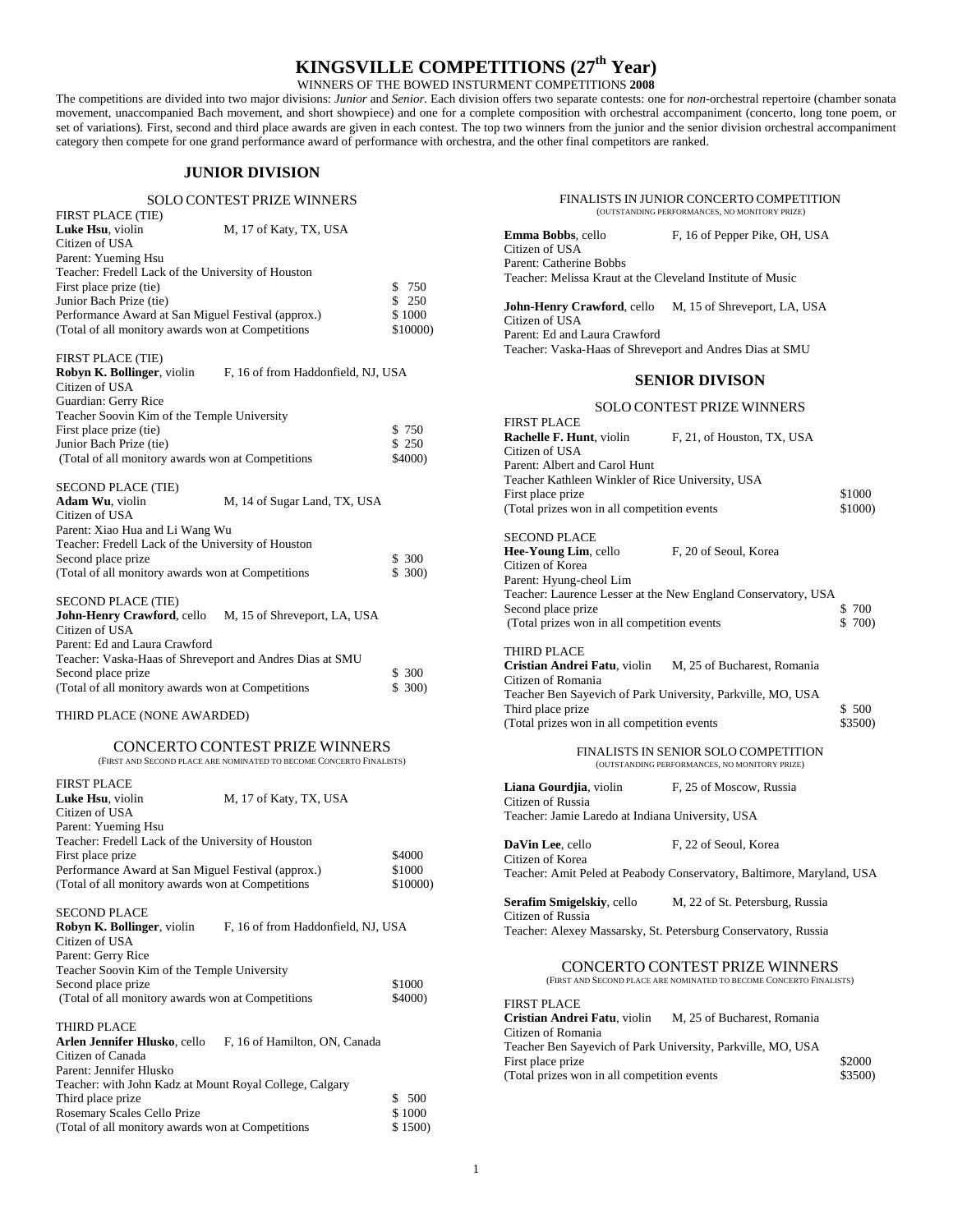# **KINGSVILLE COMPETITIONS (27th Year)**

WINNERS OF THE BOWED INSTURMENT COMPETITIONS **2008**

The competitions are divided into two major divisions: *Junior* and *Senior*. Each division offers two separate contests: one for *non*-orchestral repertoire (chamber sonata movement, unaccompanied Bach movement, and short showpiece) and one for a complete composition with orchestral accompaniment (concerto, long tone poem, or set of variations). First, second and third place awards are given in each contest. The top two winners from the junior and the senior division orchestral accompaniment category then compete for one grand performance award of performance with orchestra, and the other final competitors are ranked.

# **JUNIOR DIVISION**

### SOLO CONTEST PRIZE WINNERS

| M, 17 of Katy, TX, USA                             |          |
|----------------------------------------------------|----------|
|                                                    |          |
|                                                    |          |
| Teacher: Fredell Lack of the University of Houston |          |
|                                                    | \$ 750   |
|                                                    | \$250    |
| Performance Award at San Miguel Festival (approx.) | \$1000   |
| (Total of all monitory awards won at Competitions  | \$10000) |
|                                                    |          |

# FIRST PLACE (TIE)

| <b>Robyn K. Bollinger</b> , violin                 | F, 16 of from Haddonfield, NJ, USA |         |
|----------------------------------------------------|------------------------------------|---------|
| Citizen of USA                                     |                                    |         |
| Guardian: Gerry Rice                               |                                    |         |
| Teacher Soovin Kim of the Temple University        |                                    |         |
| First place prize (tie)                            |                                    | \$750   |
| Junior Bach Prize (tie)                            |                                    | \$250   |
| (Total of all monitory awards won at Competitions) |                                    | \$4000) |

### SECOND PLACE (TIE)

| <b>Adam Wu</b> , violin                            | M, 14 of Sugar Land, TX, USA |       |
|----------------------------------------------------|------------------------------|-------|
| Citizen of USA                                     |                              |       |
| Parent: Xiao Hua and Li Wang Wu                    |                              |       |
| Teacher: Fredell Lack of the University of Houston |                              |       |
| Second place prize                                 |                              | \$300 |
| (Total of all monitory awards won at Competitions) |                              | \$300 |
| <b>SECOND PLACE (TIE)</b>                          |                              |       |
| John-Henry Crawford, cello                         | M, 15 of Shreveport, LA, USA |       |
| Citizen of USA                                     |                              |       |
|                                                    |                              |       |

| Parent: Ed and Laura Crawford                            |        |
|----------------------------------------------------------|--------|
| Teacher: Vaska-Haas of Shreveport and Andres Dias at SMU |        |
| Second place prize                                       | \$ 300 |
| (Total of all monitory awards won at Competitions)       | \$300  |
|                                                          |        |

# THIRD PLACE (NONE AWARDED)

#### CONCERTO CONTEST PRIZE WINNERS (FIRST AND SECOND PLACE ARE NOMINATED TO BECOME CONCERTO FINALISTS)

| <b>FIRST PLACE</b>                                                       |          |
|--------------------------------------------------------------------------|----------|
| M, 17 of Katy, TX, USA<br>Luke Hsu, violin                               |          |
| Citizen of USA                                                           |          |
| Parent: Yueming Hsu                                                      |          |
| Teacher: Fredell Lack of the University of Houston                       |          |
| First place prize                                                        | \$4000   |
| Performance Award at San Miguel Festival (approx.)                       | \$1000   |
| (Total of all monitory awards won at Competitions)                       | \$10000) |
| <b>SECOND PLACE</b>                                                      |          |
| <b>Robyn K. Bollinger</b> , violin<br>F, 16 of from Haddonfield, NJ, USA |          |
| Citizen of USA                                                           |          |
| Parent: Gerry Rice                                                       |          |
| Teacher Soovin Kim of the Temple University                              |          |
| Second place prize                                                       | \$1000   |
| (Total of all monitory awards won at Competitions)                       | \$4000)  |
| <b>THIRD PLACE</b>                                                       |          |
| Arlen Jennifer Hlusko, cello<br>F, 16 of Hamilton, ON, Canada            |          |

| ATION JUMINUE THUSKY, CONO<br>1.10 OI Hammon. OT Canada |        |
|---------------------------------------------------------|--------|
| Citizen of Canada                                       |        |
| Parent: Jennifer Hlusko                                 |        |
| Teacher: with John Kadz at Mount Royal College, Calgary |        |
| Third place prize.                                      | \$500  |
| Rosemary Scales Cello Prize                             | \$1000 |
| (Total of all monitory awards won at Competitions)      | \$1500 |
|                                                         |        |

| FINALISTS IN JUNIOR CONCERTO COMPETITION<br>(OUTSTANDING PERFORMANCES, NO MONITORY PRIZE)                                                                                                                                               |                                                                                                                                    |                   |
|-----------------------------------------------------------------------------------------------------------------------------------------------------------------------------------------------------------------------------------------|------------------------------------------------------------------------------------------------------------------------------------|-------------------|
| <b>Emma Bobbs, cello</b><br>Citizen of USA<br>Parent: Catherine Bobbs                                                                                                                                                                   | F, 16 of Pepper Pike, OH, USA                                                                                                      |                   |
| Teacher: Melissa Kraut at the Cleveland Institute of Music                                                                                                                                                                              |                                                                                                                                    |                   |
| John-Henry Crawford, cello M, 15 of Shreveport, LA, USA<br>Citizen of USA<br>Parent: Ed and Laura Crawford<br>Teacher: Vaska-Haas of Shreveport and Andres Dias at SMU                                                                  |                                                                                                                                    |                   |
|                                                                                                                                                                                                                                         | <b>SENIOR DIVISON</b>                                                                                                              |                   |
|                                                                                                                                                                                                                                         | <b>SOLO CONTEST PRIZE WINNERS</b>                                                                                                  |                   |
| <b>FIRST PLACE</b><br><b>Rachelle F. Hunt, violin</b><br>Citizen of USA                                                                                                                                                                 | F, 21, of Houston, TX, USA                                                                                                         |                   |
| Parent: Albert and Carol Hunt<br>Teacher Kathleen Winkler of Rice University, USA<br>First place prize<br>(Total prizes won in all competition events                                                                                   |                                                                                                                                    | \$1000<br>\$1000) |
| <b>SECOND PLACE</b><br><b>Hee-Young Lim, cello</b><br>Citizen of Korea                                                                                                                                                                  | F, 20 of Seoul, Korea                                                                                                              |                   |
| Parent: Hyung-cheol Lim<br>Second place prize<br>(Total prizes won in all competition events                                                                                                                                            | Teacher: Laurence Lesser at the New England Conservatory, USA                                                                      | \$700<br>\$ 700)  |
| <b>THIRD PLACE</b><br>Cristian Andrei Fatu, violin M, 25 of Bucharest, Romania<br>Citizen of Romania<br>Teacher Ben Sayevich of Park University, Parkville, MO, USA<br>Third place prize<br>(Total prizes won in all competition events |                                                                                                                                    | \$500<br>\$3500)  |
|                                                                                                                                                                                                                                         | FINALISTS IN SENIOR SOLO COMPETITION<br>(OUTSTANDING PERFORMANCES, NO MONITORY PRIZE)                                              |                   |
| Liana Gourdjia, violin F, 25 of Moscow, Russia                                                                                                                                                                                          |                                                                                                                                    |                   |
| Citizen of Russia<br>Teacher: Jamie Laredo at Indiana University, USA                                                                                                                                                                   |                                                                                                                                    |                   |
| DaVin Lee, cello                                                                                                                                                                                                                        | F, 22 of Seoul, Korea                                                                                                              |                   |
| Citizen of Korea                                                                                                                                                                                                                        | Teacher: Amit Peled at Peabody Conservatory, Baltimore, Maryland, USA                                                              |                   |
| Citizen of Russia                                                                                                                                                                                                                       | <b>Serafim Smigelskiy, cello</b> M, 22 of St. Petersburg, Russia<br>Teacher: Alexey Massarsky, St. Petersburg Conservatory, Russia |                   |
| CONCERTO CONTEST PRIZE WINNERS<br>(FIRST AND SECOND PLACE ARE NOMINATED TO BECOME CONCERTO FINALISTS)                                                                                                                                   |                                                                                                                                    |                   |
| <b>FIRST PLACE</b><br>Cristian Andrei Fatu, violin M, 25 of Bucharest, Romania<br>Citizen of Romania<br>Teacher Ben Sayevich of Park University, Parkville, MO, USA                                                                     |                                                                                                                                    |                   |
| First place prize<br>(Total prizes won in all competition events)                                                                                                                                                                       |                                                                                                                                    | \$2000<br>\$3500) |

(Total prizes won in all competition events